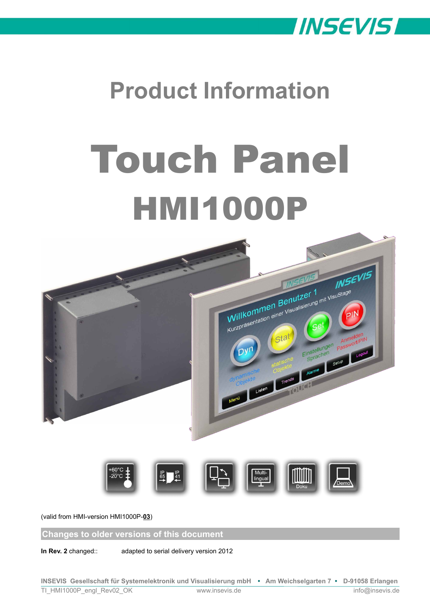

# **Product Information**

# Touch Panel **HMI1000P**



(valid from HMI-version HMI1000P-**03**)

**Changes to older versions of this document**

**In Rev. 2** changed:: adapted to serial delivery version 2012

**INSEVIS Gesellschaft für Systemelektronik und Visualisierung mbH • Am Weichselgarten 7 • D-91058 Erlangen** TI\_HMI1000P\_engl\_Rev02\_OK www.insevis.de info@insevis.de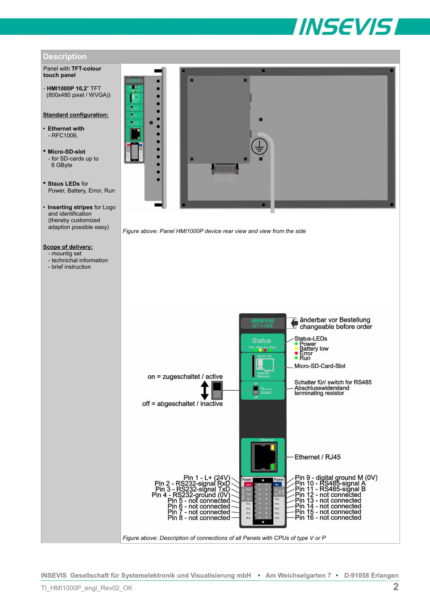



**INSEVIS Gesellschaft für Systemelektronik und Visualisierung mbH • Am Weichselgarten 7 • D-91058 Erlangen**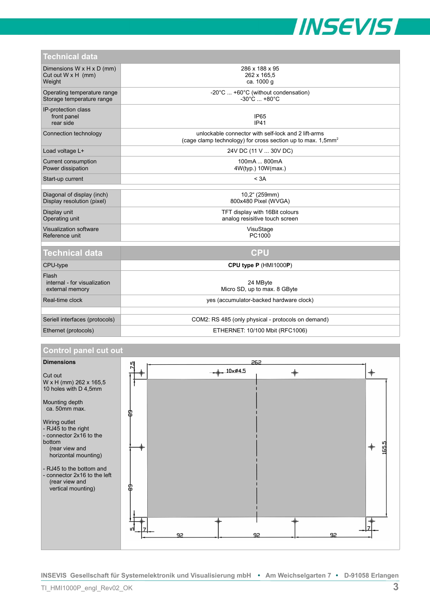

| Technical data                                                   |                                                                                                                                   |
|------------------------------------------------------------------|-----------------------------------------------------------------------------------------------------------------------------------|
| Dimensions W x H x D (mm)<br>Cut out $W \times H$ (mm)<br>Weight | 286 x 188 x 95<br>262 x 165,5<br>ca. 1000 g                                                                                       |
| Operating temperature range<br>Storage temperature range         | -20°C  +60°C (without condensation)<br>$-30^{\circ}$ C  +80 $^{\circ}$ C                                                          |
| IP-protection class<br>front panel<br>rear side                  | <b>IP65</b><br>IP41                                                                                                               |
| Connection technology                                            | unlockable connector with self-lock and 2 lift-arms<br>(cage clamp technology) for cross section up to max. $1.5$ mm <sup>2</sup> |
| Load voltage L+                                                  | 24V DC (11 V  30V DC)                                                                                                             |
| Current consumption<br>Power dissipation                         | 100mA  800mA<br>4W(typ.) 10W(max.)                                                                                                |
| Start-up current                                                 | < 3A                                                                                                                              |
|                                                                  |                                                                                                                                   |
| Diagonal of display (inch)<br>Display resolution (pixel)         | 10,2" (259mm)<br>800x480 Pixel (WVGA)                                                                                             |
| Display unit<br>Operating unit                                   | TFT display with 16Bit colours<br>analog resisitive touch screen                                                                  |
| Visualization software<br>Reference unit                         | VisuStage<br>PC1000                                                                                                               |
|                                                                  |                                                                                                                                   |
| <b>Technical data</b>                                            | <b>CPU</b>                                                                                                                        |
| CPU-type                                                         | CPU type P (HMI1000P)                                                                                                             |
| Flash<br>internal - for visualization<br>external memory         | 24 MByte<br>Micro SD, up to max. 8 GByte                                                                                          |
| Real-time clock                                                  | yes (accumulator-backed hardware clock)                                                                                           |
|                                                                  |                                                                                                                                   |
| Seriell interfaces (protocols)                                   | COM2: RS 485 (only physical - protocols on demand)                                                                                |

#### Ethernet (protocols) ETHERNET: 10/100 Mbit (RFC1006)

#### **Control panel cut out**



**INSEVIS Gesellschaft für Systemelektronik und Visualisierung mbH • Am Weichselgarten 7 • D-91058 Erlangen**